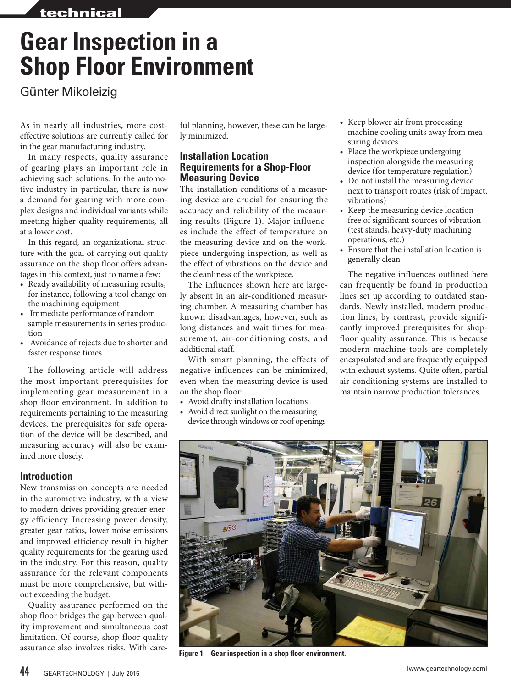# **Gear Inspection in a Shop Floor Environment**

Günter Mikoleizig

As in nearly all industries, more costeffective solutions are currently called for in the gear manufacturing industry.

In many respects, quality assurance of gearing plays an important role in achieving such solutions. In the automotive industry in particular, there is now a demand for gearing with more complex designs and individual variants while meeting higher quality requirements, all at a lower cost.

In this regard, an organizational structure with the goal of carrying out quality assurance on the shop floor offers advantages in this context, just to name a few:

- Ready availability of measuring results, for instance, following a tool change on the machining equipment
- Immediate performance of random sample measurements in series production
- Avoidance of rejects due to shorter and faster response times

The following article will address the most important prerequisites for implementing gear measurement in a shop floor environment. In addition to requirements pertaining to the measuring devices, the prerequisites for safe operation of the device will be described, and measuring accuracy will also be examined more closely.

# **Introduction**

New transmission concepts are needed in the automotive industry, with a view to modern drives providing greater energy efficiency. Increasing power density, greater gear ratios, lower noise emissions and improved efficiency result in higher quality requirements for the gearing used in the industry. For this reason, quality assurance for the relevant components must be more comprehensive, but without exceeding the budget.

Quality assurance performed on the shop floor bridges the gap between quality improvement and simultaneous cost limitation. Of course, shop floor quality assurance also involves risks. With care-

ful planning, however, these can be largely minimized.

# **Installation Location Requirements for a Shop-Floor Measuring Device**

The installation conditions of a measuring device are crucial for ensuring the accuracy and reliability of the measuring results (Figure 1). Major influences include the effect of temperature on the measuring device and on the workpiece undergoing inspection, as well as the effect of vibrations on the device and the cleanliness of the workpiece.

The influences shown here are largely absent in an air-conditioned measuring chamber. A measuring chamber has known disadvantages, however, such as long distances and wait times for measurement, air-conditioning costs, and additional staff.

With smart planning, the effects of negative influences can be minimized, even when the measuring device is used on the shop floor:

- Avoid drafty installation locations
- Avoid direct sunlight on the measuring device through windows or roof openings
- Keep blower air from processing machine cooling units away from measuring devices
- Place the workpiece undergoing inspection alongside the measuring device (for temperature regulation)
- Do not install the measuring device next to transport routes (risk of impact, vibrations)
- Keep the measuring device location free of significant sources of vibration (test stands, heavy-duty machining operations, etc.)
- Ensure that the installation location is generally clean

The negative influences outlined here can frequently be found in production lines set up according to outdated standards. Newly installed, modern production lines, by contrast, provide significantly improved prerequisites for shopfloor quality assurance. This is because modern machine tools are completely encapsulated and are frequently equipped with exhaust systems. Quite often, partial air conditioning systems are installed to maintain narrow production tolerances.



**Figure 1 Gear inspection in a shop floor environment.**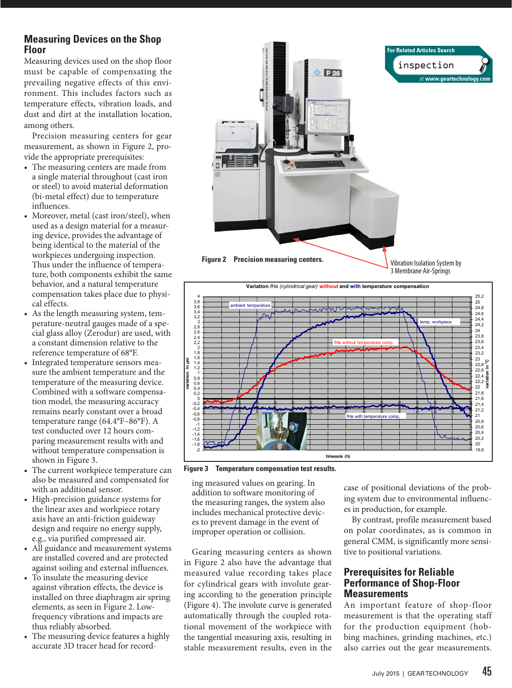# **Measuring Devices on the Shop Floor**

Measuring devices used on the shop floor must be capable of compensating the prevailing negative effects of this environment. This includes factors such as temperature effects, vibration loads, and dust and dirt at the installation location, among others.

Precision measuring centers for gear measurement, as shown in Figure 2, provide the appropriate prerequisites:

- The measuring centers are made from a single material throughout (cast iron or steel) to avoid material deformation (bi-metal effect) due to temperature influences.
- Moreover, metal (cast iron/steel), when used as a design material for a measuring device, provides the advantage of being identical to the material of the workpieces undergoing inspection. Thus under the influence of temperature, both components exhibit the same behavior, and a natural temperature compensation takes place due to physical effects.
- As the length measuring system, temperature-neutral gauges made of a special glass alloy (Zerodur) are used, with a constant dimension relative to the reference temperature of 68°F.
- Integrated temperature sensors measure the ambient temperature and the temperature of the measuring device. Combined with a software compensation model, the measuring accuracy remains nearly constant over a broad temperature range (64.4°F–86°F). A test conducted over 12 hours comparing measurement results with and without temperature compensation is shown in Figure 3.
- The current workpiece temperature can also be measured and compensated for with an additional sensor.
- High-precision guidance systems for the linear axes and workpiece rotary axis have an anti-friction guideway design and require no energy supply, e.g., via purified compressed air.
- All guidance and measurement systems are installed covered and are protected against soiling and external influences.
- To insulate the measuring device against vibration effects, the device is installed on three diaphragm air spring elements, as seen in Figure 2. Lowfrequency vibrations and impacts are thus reliably absorbed.
- The measuring device features a highly accurate 3D tracer head for record-





**Figure 3 Temperature compensation test results.**

ing measured values on gearing. In addition to software monitoring of the measuring ranges, the system also includes mechanical protective devices to prevent damage in the event of improper operation or collision.

Gearing measuring centers as shown in Figure 2 also have the advantage that measured value recording takes place for cylindrical gears with involute gearing according to the generation principle (Figure 4). The involute curve is generated automatically through the coupled rotational movement of the workpiece with the tangential measuring axis, resulting in stable measurement results, even in the case of positional deviations of the probing system due to environmental influences in production, for example.

By contrast, profile measurement based on polar coordinates, as is common in general CMM, is significantly more sensitive to positional variations.

# **Prerequisites for Reliable Performance of Shop-Floor Measurements**

An important feature of shop-floor measurement is that the operating staff for the production equipment (hobbing machines, grinding machines, etc.) also carries out the gear measurements.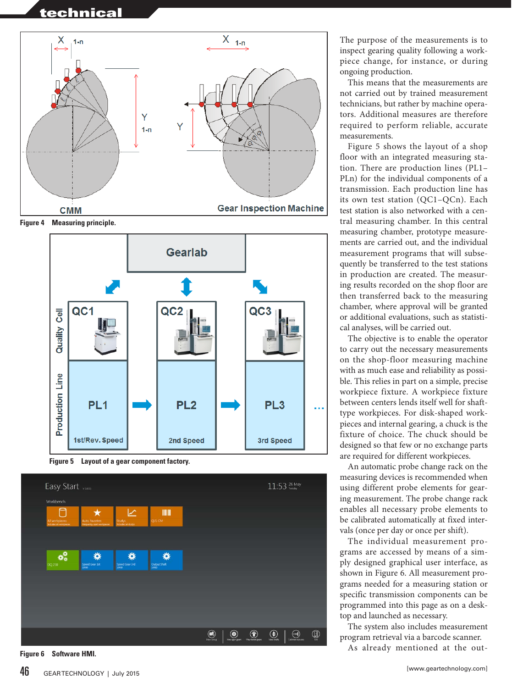

**Figure 4 Measuring principle.**



**Figure 5 Layout of a gear component factory.**



 $46$  GEAR TECHNOLOGY | July 2015

This means that the measurements are not carried out by trained measurement technicians, but rather by machine opera tors. Additional measures are therefore required to perform reliable, accurate measurements.

Figure 5 shows the layout of a shop floor with an integrated measuring sta tion. There are production lines (PL1– PLn) for the individual components of a transmission. Each production line has its own test station (QC1–QCn). Each test station is also networked with a cen tral measuring chamber. In this central measuring chamber, prototype measure ments are carried out, and the individual measurement programs that will subse quently be transferred to the test stations in production are created. The measur ing results recorded on the shop floor are then transferred back to the measuring chamber, where approval will be granted or additional evaluations, such as statisti cal analyses, will be carried out.

The objective is to enable the operator to carry out the necessary measurements on the shop-floor measuring machine with as much ease and reliability as possi ble. This relies in part on a simple, precise workpiece fixture. A workpiece fixture between centers lends itself well for shafttype workpieces. For disk-shaped workpieces and internal gearing, a chuck is the fixture of choice. The chuck should be designed so that few or no exchange parts are required for different workpieces.

An automatic probe change rack on the measuring devices is recommended when using different probe elements for gear ing measurement. The probe change rack enables all necessary probe elements to be calibrated automatically at fixed inter vals (once per day or once per shift).

The individual measurement pro grams are accessed by means of a sim ply designed graphical user interface, as shown in Figure 6. All measurement pro grams needed for a measuring station or specific transmission components can be programmed into this page as on a desk top and launched as necessary.

The system also includes measurement program retrieval via a barcode scanner.